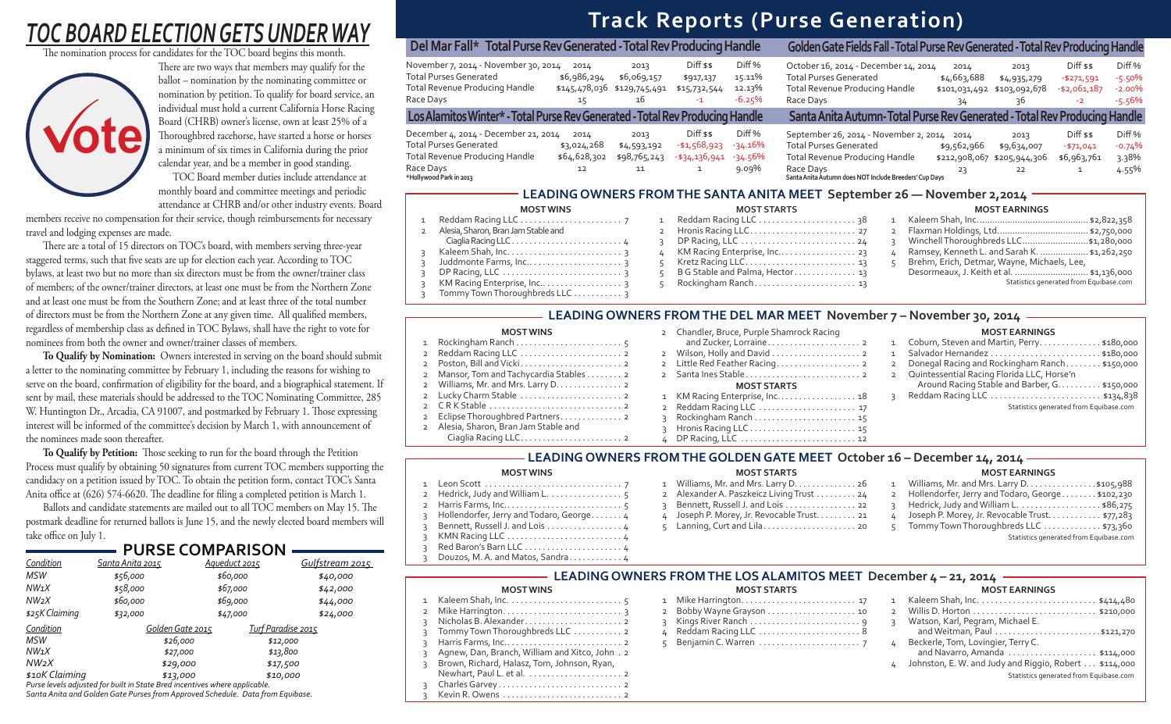# **Track Reports (Purse Generation)**

# *TOC BOARD ELECTION GETS UNDER WAY*

The nomination process for candidates for the TOC board begins this month.



There are two ways that members may qualify for the ballot – nomination by the nominating committee or nomination by petition. To qualify for board service, an individual must hold a current California Horse Racing Board (CHRB) owner's license, own at least 25% of a Thoroughbred racehorse, have started a horse or horses a minimum of six times in California during the prior calendar year, and be a member in good standing.

There are a total of 15 directors on TOC's board, with members serving three-year staggered terms, such that five seats are up for election each year. According to TOC bylaws, at least two but no more than six directors must be from the owner/trainer class of members; of the owner/trainer directors, at least one must be from the Northern Zone and at least one must be from the Southern Zone; and at least three of the total number of directors must be from the Northern Zone at any given time. All qualified members, regardless of membership class as defined in TOC Bylaws, shall have the right to vote for nominees from both the owner and owner/trainer classes of members.

 TOC Board member duties include attendance at monthly board and committee meetings and periodic attendance at CHRB and/or other industry events. Board

members receive no compensation for their service, though reimbursements for necessary travel and lodging expenses are made.

 **To Qualify by Nomination:** Owners interested in serving on the board should submit a letter to the nominating committee by February 1, including the reasons for wishing to serve on the board, confirmation of eligibility for the board, and a biographical statement. If sent by mail, these materials should be addressed to the TOC Nominating Committee, 285 W. Huntington Dr., Arcadia, CA 91007, and postmarked by February 1. Those expressing interest will be informed of the committee's decision by March 1, with announcement of the nominees made soon thereafter.

To Qualify by Petition: Those seeking to run for the board through the Petition Process must qualify by obtaining 50 signatures from current TOC members supporting the candidacy on a petition issued by TOC. To obtain the petition form, contact TOC's Santa Anita office at  $(626)$  574-6620. The deadline for filing a completed petition is March 1.

Ballots and candidate statements are mailed out to all TOC members on May 15. The postmark deadline for returned ballots is June 15, and the newly elected board members will take office on July 1.

## 1 Leon Scott . . . . . . . . . . . . . . . . . . . . . . . . . . . . . . . 7 2 Hedrick, Judy and William L. . . . . . . . . . . . . . . . 5 2 Harris Farms, Inc.. . . . . . . . . . . . . . . . . . . . . . . . . . 5 3 Hollendorfer, Jerry and Todaro, George. . . . . . . 4 3 Bennett, Russell J. and Lois . . . . . . . . . . . . . . . 4 3 KMN Racing LLC . . . . . . . . . . . . . . . . . . . . . . . . . . 4 3 Red Baron's Barn LLC . . . . . . . . . . . . . . . . . . . . . . 4 Douzos, M. A. and Matos, Sandra. . . . . . . . . . . 4

**MOST WINS** 1 Reddam Racing LLC . . . . . . . . . . . . . . . . . . . . . . . 7

2 Alesia, Sharon, Bran Jam Stable and

|            | <b>MOST STARTS</b>              | <b>MOST EARNINGS</b> |                                              |  |  |  |
|------------|---------------------------------|----------------------|----------------------------------------------|--|--|--|
| 1          |                                 |                      |                                              |  |  |  |
|            |                                 | $\overline{2}$       |                                              |  |  |  |
|            |                                 |                      | Winchell Thoroughbreds LLC\$1,280,000        |  |  |  |
|            | 4 KM Racing Enterprise, Inc 23  | 4                    | Ramsey, Kenneth L. and Sarah K.  \$1,262,250 |  |  |  |
| $\sqrt{2}$ |                                 |                      | Brehm, Erich, Detmar, Wayne, Michaels, Lee,  |  |  |  |
| 5          | B G Stable and Palma, Hector 13 |                      | Desormeaux, J. Keith et al.  \$1,136,000     |  |  |  |
|            |                                 |                      | Statistics generated from Equibase.com       |  |  |  |

 Ciaglia Racing LLC. . . . . . . . . . . . . . . . . . . . . . . . . 4 3 Kaleem Shah, Inc. . . . . . . . . . . . . . . . . . . . . . . . . . 3 3 Juddmonte Farms, Inc.. . . . . . . . . . . . . . . . . . . . . 3 3 DP Racing, LLC . . . . . . . . . . . . . . . . . . . . . . . . . . . 3 3 KM Racing Enterprise, Inc.. . . . . . . . . . . . . . . . 3 3 Tommy Town Thoroughbreds LLC . . . . . . . . . . . 3

## **MOST EARNINGS**

| Del Mar Fall* Total Purse Rev Generated - Total Rev Producing Handle                                                                            |                                                        |                                                          |                                                  |                                         | Golden Gate Fields Fall - Total Purse Rev Generated - Total Rev Producing Handle                                                                                                            |                                            |                                                          |                                                        |                                                 |
|-------------------------------------------------------------------------------------------------------------------------------------------------|--------------------------------------------------------|----------------------------------------------------------|--------------------------------------------------|-----------------------------------------|---------------------------------------------------------------------------------------------------------------------------------------------------------------------------------------------|--------------------------------------------|----------------------------------------------------------|--------------------------------------------------------|-------------------------------------------------|
| November 7, 2014 - November 30, 2014<br><b>Total Purses Generated</b><br>Total Revenue Producing Handle<br>Race Days                            | 2014<br>\$6,986,294<br>15                              | 2013<br>\$6,069,157<br>\$145,478,036 \$129,745,491<br>16 | $Diff$ \$\$<br>\$917,137<br>\$15,732,544<br>$-1$ | Diff %<br>15.11%<br>12.13%<br>$-6.25\%$ | October 16, 2014 - December 14, 2014<br><b>Total Purses Generated</b><br><b>Total Revenue Producing Handle</b><br>Race Days                                                                 | 2014<br>\$4,663,688<br>\$101,031,492<br>34 | 2013<br>\$4,935,279<br>\$103,092,678<br>36               | $Diff$ \$\$<br>$-$ \$271,591<br>$- $2,061,187$<br>$-2$ | Diff %<br>$-5.50%$<br>$-2.00%$<br>$-5.56%$      |
| Los Alamitos Winter* - Total Purse Rev Generated - Total Rev Producing Handle                                                                   |                                                        |                                                          |                                                  |                                         | Santa Anita Autumn-Total Purse Rev Generated - Total Rev Producing Handle                                                                                                                   |                                            |                                                          |                                                        |                                                 |
| December 4, 2014 - December 21, 2014<br><b>Total Purses Generated</b><br>Total Revenue Producing Handle<br>Race Days<br>*Hollywood Park in 2013 | 2014<br>\$3,024,268<br>\$64,628,302<br>12 <sup>2</sup> | 2013<br>\$4,593,192<br>\$98,765,243<br>11                | $Diff$ \$\$<br>-\$1,568,923<br>-\$34,136,941     | Diff %<br>-34.16%<br>-34.56%<br>9.09%   | September 26, 2014 - November 2, 2014 2014<br><b>Total Purses Generated</b><br><b>Total Revenue Producing Handle</b><br>Race Days<br>Santa Anita Autumn does NOT Include Breeders' Cup Days | \$9,562,966<br>23                          | 2013<br>\$9,634,007<br>\$212,908,067 \$205,944,306<br>22 | $Diff$ \$\$<br>$-571,041$<br>\$6,963,761               | Diff <sub>%</sub><br>$-0.74%$<br>3.38%<br>4.55% |

## **LEADING OWNERS FROM THE SANTA ANITA MEET September 26 — November 2,2014**

## **MOST WINS**

| $\overline{2}$ |                                         |
|----------------|-----------------------------------------|
|                | 2 Mansor, Tom and Tachycardia Stables 2 |
|                | 2 Williams, Mr. and Mrs. Larry D. 2     |
|                | 2 Lucky Charm Stable  2                 |
|                |                                         |
|                | 2 Eclipse Thoroughbred Partners 2       |
|                | 2 Alesia, Sharon, Bran Jam Stable and   |
|                |                                         |

## MOST STARTS **LEADING OWNERS FROM THE LOS ALAMITOS MEET December 4 – 21, 2014**

## **MOST WINC**

## **MOST EARNINGS**

| $\overline{2}$ |                | Coburn, Steven and Martin, Perry. \$180,000   |
|----------------|----------------|-----------------------------------------------|
| $\overline{2}$ |                |                                               |
| $\overline{2}$ | $\overline{2}$ | Donegal Racing and Rockingham Ranch \$150,000 |
| $\overline{2}$ |                | 2 Quintessential Racing Florida LLC, Horse'n  |
|                |                | Around Racing Stable and Barber, G. \$150,000 |
| 8              |                |                                               |
| L7             |                | Statistics generated from Equibase.com        |
|                |                |                                               |

- 
- 

## **LEADING OWNERS FROM THE DEL MAR MEET November 7 – November 30, 2014**

### **MOST WINS MOST STARTS LEADING OWNERS FROM THE GOLDEN GATE MEET October 16 – December 14, 2014**

|              | 2 Wilson, Holly and David 2    |
|--------------|--------------------------------|
|              | 2 Little Red Feather Racing 2  |
|              |                                |
|              | <b>MOST STARTS</b>             |
|              | 1 KM Racing Enterprise, Inc 18 |
|              |                                |
| $\mathbf{R}$ |                                |
| $\mathbf{R}$ | Hronis Racing LLC 15           |
|              |                                |

| <b>MOST STARTS</b>                         |   | <b>MOST EARNINGS</b>                               |
|--------------------------------------------|---|----------------------------------------------------|
| 1 Williams, Mr. and Mrs. Larry D. 26       | 1 | Williams, Mr. and Mrs. Larry D. \$105,988          |
| 2 Alexander A. Paszkeicz Living Trust 24   |   | 2 Hollendorfer, Jerry and Todaro, George \$102,230 |
| 3 Bennett, Russell J. and Lois 22          |   | 3 Hedrick, Judy and William L. \$86,275            |
| 4 Joseph P. Morey, Jr. Revocable Trust. 21 |   | Joseph P. Morey, Jr. Revocable Trust. \$77,283     |
|                                            |   | Tommy Town Thoroughbreds LLC \$73,360              |
|                                            |   | Statistics generated from Equibase.com             |
|                                            |   |                                                    |

2 Chandler, Bruce, Purple Shamrock Racing

|                | כצוועע וכטועו                                   |
|----------------|-------------------------------------------------|
| $\mathbf{1}$   |                                                 |
| $\overline{2}$ |                                                 |
| 3              |                                                 |
| 3              | Tommy Town Thoroughbreds LLC 2                  |
| 3              |                                                 |
| 3              | Agnew, Dan, Branch, William and Xitco, John . 2 |
| 3              | Brown, Richard, Halasz, Tom, Johnson, Ryan,     |
|                |                                                 |
| 3              |                                                 |
| 3              |                                                 |

|  | כוחמוכוכטויו           |
|--|------------------------|
|  |                        |
|  |                        |
|  |                        |
|  | 4 Reddam Racing LLC  8 |

5 Benjamin C. Warren . . . . . . . . . . . . . . . . . . . . . . . 7

## **MOST EARNINGS**

| 7 |                |                                                       |
|---|----------------|-------------------------------------------------------|
| O | $\overline{2}$ |                                                       |
| 9 |                | Watson, Karl, Pegram, Michael E.                      |
| 8 |                |                                                       |
| 7 |                | Beckerle, Tom, Lovingier, Terry C.                    |
|   |                | and Navarro, Amanda  \$114,000                        |
|   |                | Johnston, E. W. and Judy and Riggio, Robert \$114,000 |
|   |                | Statistics generated from Equibase.com                |
|   |                |                                                       |

| Condition         | Santa Anita 2015 | Agueduct 2015 | Gulfstream 2015           |
|-------------------|------------------|---------------|---------------------------|
| <b>MSW</b>        | \$56,000         | \$60,000      | \$40,000                  |
| $NW_1X$           | \$58,000         | \$67,000      | \$42,000                  |
| NW <sub>2</sub> X | \$60,000         | \$69,000      | \$44,000                  |
| \$25K Claiming    | \$32,000         | \$47,000      | \$24,000                  |
| Condition         | Golden Gate 2015 |               | <u>Turf Paradise 2015</u> |
| <b>MSW</b>        | \$26,000         |               | \$12,000                  |
| $NW_1X$           | \$27,000         |               | \$13,800                  |
| NW <sub>2</sub> X | \$29,000         |               | \$17,500                  |
| \$10K Claiming    | \$13,000         | $\cdots$      | \$10,000                  |

|  |  | <b>- PURSE COMPARISON</b> |  |  |  |  |  |
|--|--|---------------------------|--|--|--|--|--|
|  |  |                           |  |  |  |  |  |

*Purse levels adjusted for built in State Bred incentives where applicable. Santa Anita and Golden Gate Purses from Approved Schedule. Data from Equibase.*